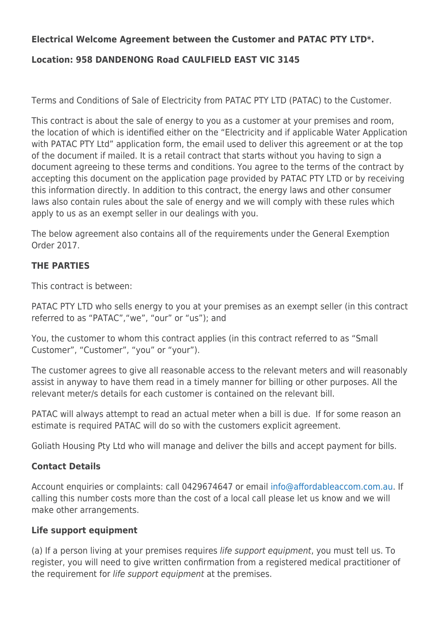## **Electrical Welcome Agreement between the Customer and PATAC PTY LTD\*.**

# **Location: 958 DANDENONG Road CAULFIELD EAST VIC 3145**

Terms and Conditions of Sale of Electricity from PATAC PTY LTD (PATAC) to the Customer.

This contract is about the sale of energy to you as a customer at your premises and room, the location of which is identified either on the "Electricity and if applicable Water Application with PATAC PTY Ltd" application form, the email used to deliver this agreement or at the top of the document if mailed. It is a retail contract that starts without you having to sign a document agreeing to these terms and conditions. You agree to the terms of the contract by accepting this document on the application page provided by PATAC PTY LTD or by receiving this information directly. In addition to this contract, the energy laws and other consumer laws also contain rules about the sale of energy and we will comply with these rules which apply to us as an exempt seller in our dealings with you.

The below agreement also contains all of the requirements under the General Exemption Order 2017.

### **THE PARTIES**

This contract is between:

PATAC PTY LTD who sells energy to you at your premises as an exempt seller (in this contract referred to as "PATAC","we", "our" or "us"); and

You, the customer to whom this contract applies (in this contract referred to as "Small Customer", "Customer", "you" or "your").

The customer agrees to give all reasonable access to the relevant meters and will reasonably assist in anyway to have them read in a timely manner for billing or other purposes. All the relevant meter/s details for each customer is contained on the relevant bill.

PATAC will always attempt to read an actual meter when a bill is due. If for some reason an estimate is required PATAC will do so with the customers explicit agreement.

Goliath Housing Pty Ltd who will manage and deliver the bills and accept payment for bills.

### **Contact Details**

Account enquiries or complaints: call 0429674647 or email [info@affordableaccom.com.au.](mailto:info@affordableaccom.com.au) If calling this number costs more than the cost of a local call please let us know and we will make other arrangements.

### **Life support equipment**

(a) If a person living at your premises requires life support equipment, you must tell us. To register, you will need to give written confirmation from a registered medical practitioner of the requirement for life support equipment at the premises.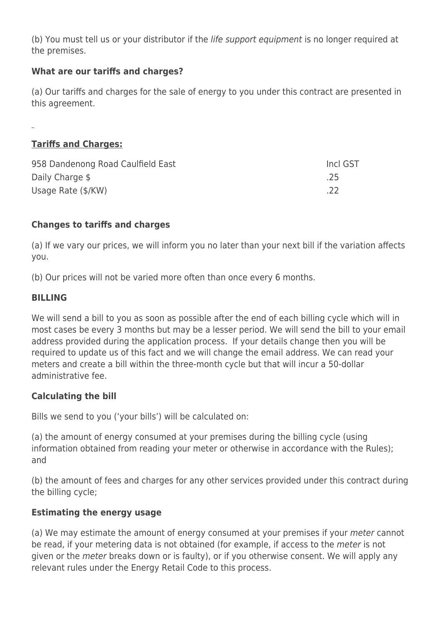(b) You must tell us or your distributor if the *life support equipment* is no longer required at the premises.

## **What are our tariffs and charges?**

(a) Our tariffs and charges for the sale of energy to you under this contract are presented in this agreement.

# **Tariffs and Charges:**

| 958 Dandenong Road Caulfield East | Incl GST |
|-----------------------------------|----------|
| Daily Charge \$                   | .25      |
| Usage Rate (\$/KW)                | .22      |

# **Changes to tariffs and charges**

(a) If we vary our prices, we will inform you no later than your next bill if the variation affects you.

(b) Our prices will not be varied more often than once every 6 months.

# **BILLING**

We will send a bill to you as soon as possible after the end of each billing cycle which will in most cases be every 3 months but may be a lesser period. We will send the bill to your email address provided during the application process. If your details change then you will be required to update us of this fact and we will change the email address. We can read your meters and create a bill within the three-month cycle but that will incur a 50-dollar administrative fee.

# **Calculating the bill**

Bills we send to you ('your bills') will be calculated on:

(a) the amount of energy consumed at your premises during the billing cycle (using information obtained from reading your meter or otherwise in accordance with the Rules); and

(b) the amount of fees and charges for any other services provided under this contract during the billing cycle;

## **Estimating the energy usage**

(a) We may estimate the amount of energy consumed at your premises if your meter cannot be read, if your metering data is not obtained (for example, if access to the meter is not given or the meter breaks down or is faulty), or if you otherwise consent. We will apply any relevant rules under the Energy Retail Code to this process.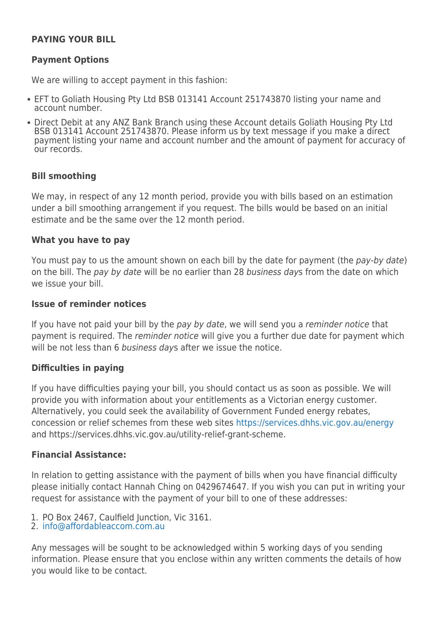### **PAYING YOUR BILL**

### **Payment Options**

We are willing to accept payment in this fashion:

- EFT to Goliath Housing Pty Ltd BSB 013141 Account 251743870 listing your name and account number.
- Direct Debit at any ANZ Bank Branch using these Account details Goliath Housing Pty Ltd BSB 013141 Account 251743870. Please inform us by text message if you make a direct payment listing your name and account number and the amount of payment for accuracy of our records.

#### **Bill smoothing**

We may, in respect of any 12 month period, provide you with bills based on an estimation under a bill smoothing arrangement if you request. The bills would be based on an initial estimate and be the same over the 12 month period.

#### **What you have to pay**

You must pay to us the amount shown on each bill by the date for payment (the pay-by date) on the bill. The pay by date will be no earlier than 28 business days from the date on which we issue your bill.

#### **Issue of reminder notices**

If you have not paid your bill by the pay by date, we will send you a reminder notice that payment is required. The *reminder notice* will give you a further due date for payment which will be not less than 6 business days after we issue the notice.

### **Difficulties in paying**

If you have difficulties paying your bill, you should contact us as soon as possible. We will provide you with information about your entitlements as a Victorian energy customer. Alternatively, you could seek the availability of Government Funded energy rebates, concession or relief schemes from these web sites <https://services.dhhs.vic.gov.au/energy> and https://services.dhhs.vic.gov.au/utility-relief-grant-scheme.

### **Financial Assistance:**

In relation to getting assistance with the payment of bills when you have financial difficulty please initially contact Hannah Ching on 0429674647. If you wish you can put in writing your request for assistance with the payment of your bill to one of these addresses:

- 1. PO Box 2467, Caulfield Junction, Vic 3161.
- 2. [info@affordableaccom.com.au](mailto:info@affordableaccom.com.au)

Any messages will be sought to be acknowledged within 5 working days of you sending information. Please ensure that you enclose within any written comments the details of how you would like to be contact.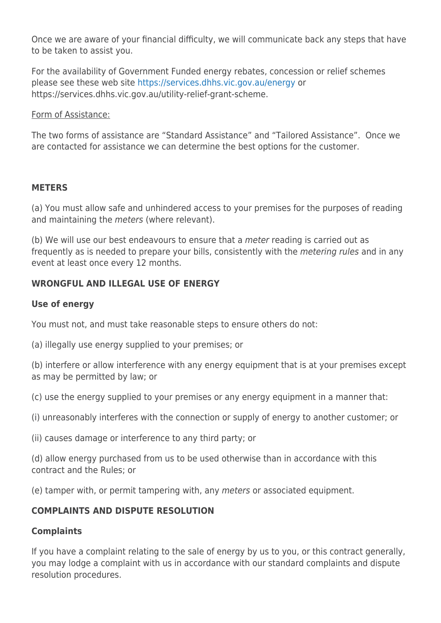Once we are aware of your financial difficulty, we will communicate back any steps that have to be taken to assist you.

For the availability of Government Funded energy rebates, concession or relief schemes please see these web site <https://services.dhhs.vic.gov.au/energy>or https://services.dhhs.vic.gov.au/utility-relief-grant-scheme.

### Form of Assistance:

The two forms of assistance are "Standard Assistance" and "Tailored Assistance". Once we are contacted for assistance we can determine the best options for the customer.

### **METERS**

(a) You must allow safe and unhindered access to your premises for the purposes of reading and maintaining the meters (where relevant).

(b) We will use our best endeavours to ensure that a meter reading is carried out as frequently as is needed to prepare your bills, consistently with the *metering rules* and in any event at least once every 12 months.

# **WRONGFUL AND ILLEGAL USE OF ENERGY**

### **Use of energy**

You must not, and must take reasonable steps to ensure others do not:

(a) illegally use energy supplied to your premises; or

(b) interfere or allow interference with any energy equipment that is at your premises except as may be permitted by law; or

- (c) use the energy supplied to your premises or any energy equipment in a manner that:
- (i) unreasonably interferes with the connection or supply of energy to another customer; or
- (ii) causes damage or interference to any third party; or

(d) allow energy purchased from us to be used otherwise than in accordance with this contract and the Rules; or

(e) tamper with, or permit tampering with, any meters or associated equipment.

## **COMPLAINTS AND DISPUTE RESOLUTION**

## **Complaints**

If you have a complaint relating to the sale of energy by us to you, or this contract generally, you may lodge a complaint with us in accordance with our standard complaints and dispute resolution procedures.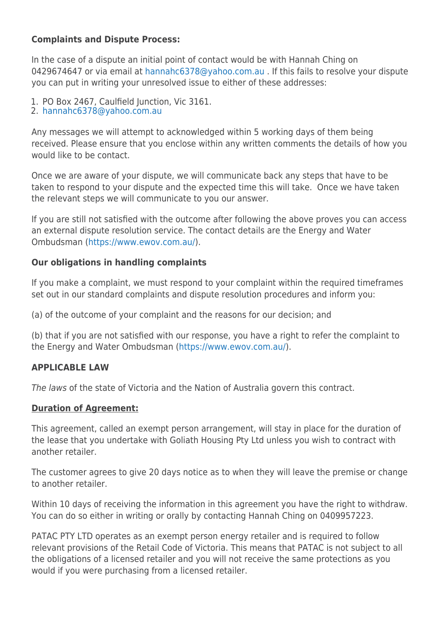## **Complaints and Dispute Process:**

In the case of a dispute an initial point of contact would be with Hannah Ching on 0429674647 or via email at [hannahc6378@yahoo.com.au](mailto:hannahc6378@yahoo.com.au) . If this fails to resolve your dispute you can put in writing your unresolved issue to either of these addresses:

- 1. PO Box 2467, Caulfield Junction, Vic 3161.
- 2. [hannahc6378@yahoo.com.au](mailto:hannahc6378@yahoo.com.au)

Any messages we will attempt to acknowledged within 5 working days of them being received. Please ensure that you enclose within any written comments the details of how you would like to be contact.

Once we are aware of your dispute, we will communicate back any steps that have to be taken to respond to your dispute and the expected time this will take. Once we have taken the relevant steps we will communicate to you our answer.

If you are still not satisfied with the outcome after following the above proves you can access an external dispute resolution service. The contact details are the Energy and Water Ombudsman [\(https://www.ewov.com.au/](https://www.ewov.com.au/)).

# **Our obligations in handling complaints**

If you make a complaint, we must respond to your complaint within the required timeframes set out in our standard complaints and dispute resolution procedures and inform you:

(a) of the outcome of your complaint and the reasons for our decision; and

(b) that if you are not satisfied with our response, you have a right to refer the complaint to the Energy and Water Ombudsman ([https://www.ewov.com.au/\)](https://www.ewov.com.au/).

## **APPLICABLE LAW**

The laws of the state of Victoria and the Nation of Australia govern this contract.

## **Duration of Agreement:**

This agreement, called an exempt person arrangement, will stay in place for the duration of the lease that you undertake with Goliath Housing Pty Ltd unless you wish to contract with another retailer.

The customer agrees to give 20 days notice as to when they will leave the premise or change to another retailer.

Within 10 days of receiving the information in this agreement you have the right to withdraw. You can do so either in writing or orally by contacting Hannah Ching on 0409957223.

PATAC PTY LTD operates as an exempt person energy retailer and is required to follow relevant provisions of the Retail Code of Victoria. This means that PATAC is not subject to all the obligations of a licensed retailer and you will not receive the same protections as you would if you were purchasing from a licensed retailer.